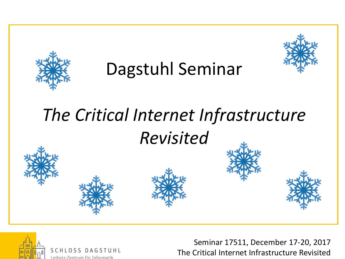

## Dagstuhl Seminar



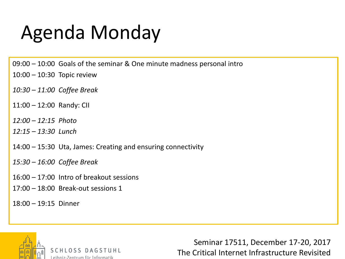## Agenda Monday

09:00 – 10:00 Goals of the seminar & One minute madness personal intro

- 10:00 10:30 Topic review
- *10:30 – 11:00 Coffee Break*
- 11:00 12:00 Randy: CII
- *12:00 – 12:15 Photo*
- *12:15 – 13:30 Lunch*
- 14:00 15:30 Uta, James: Creating and ensuring connectivity
- *15:30 – 16:00 Coffee Break*
- 16:00 17:00 Intro of breakout sessions
- 17:00 18:00 Break-out sessions 1
- 18:00 19:15 Dinner



SCHLOSS DAGSTUHL eihniz-Zentrum für Informatik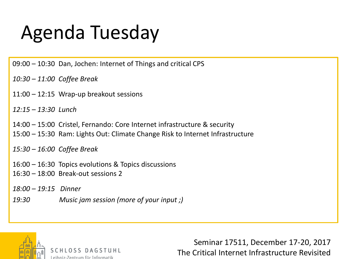## Agenda Tuesday

09:00 – 10:30 Dan, Jochen: Internet of Things and critical CPS

*10:30 – 11:00 Coffee Break*

11:00 – 12:15 Wrap-up breakout sessions

*12:15 – 13:30 Lunch*

14:00 – 15:00 Cristel, Fernando: Core Internet infrastructure & security 15:00 – 15:30 Ram: Lights Out: Climate Change Risk to Internet Infrastructure

*15:30 – 16:00 Coffee Break*

16:00 – 16:30 Topics evolutions & Topics discussions 16:30 – 18:00 Break-out sessions 2

*18:00 – 19:15 Dinner*

*19:30 Music jam session (more of your input ;)*



eihniz-Zentrum für Informatik